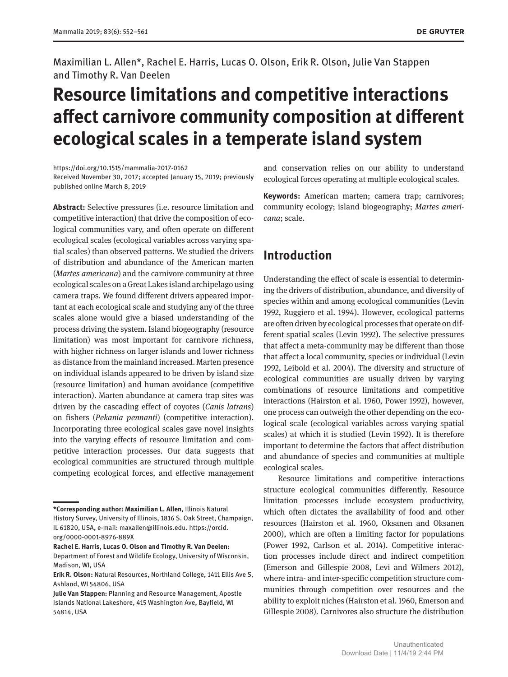Maximilian L. Allen\*, Rachel E. Harris, Lucas O. Olson, Erik R. Olson, Julie Van Stappen and Timothy R. Van Deelen

# **Resource limitations and competitive interactions affect carnivore community composition at different ecological scales in a temperate island system**

<https://doi.org/10.1515/mammalia-2017-0162> Received November 30, 2017; accepted January 15, 2019; previously published online March 8, 2019

**Abstract:** Selective pressures (i.e. resource limitation and competitive interaction) that drive the composition of ecological communities vary, and often operate on different ecological scales (ecological variables across varying spatial scales) than observed patterns. We studied the drivers of distribution and abundance of the American marten (*Martes americana*) and the carnivore community at three ecological scales on a Great Lakes island archipelago using camera traps. We found different drivers appeared important at each ecological scale and studying any of the three scales alone would give a biased understanding of the process driving the system. Island biogeography (resource limitation) was most important for carnivore richness, with higher richness on larger islands and lower richness as distance from the mainland increased. Marten presence on individual islands appeared to be driven by island size (resource limitation) and human avoidance (competitive interaction). Marten abundance at camera trap sites was driven by the cascading effect of coyotes (*Canis latrans*) on fishers (*Pekania pennanti*) (competitive interaction). Incorporating three ecological scales gave novel insights into the varying effects of resource limitation and competitive interaction processes. Our data suggests that ecological communities are structured through multiple competing ecological forces, and effective management

**Rachel E. Harris**, **Lucas O. Olson and Timothy R. Van Deelen:** Department of Forest and Wildlife Ecology, University of Wisconsin, Madison, WI, USA

and conservation relies on our ability to understand ecological forces operating at multiple ecological scales.

**Keywords:** American marten; camera trap; carnivores; community ecology; island biogeography; *Martes americana*; scale.

## **Introduction**

Understanding the effect of scale is essential to determining the drivers of distribution, abundance, and diversity of species within and among ecological communities (Levin 1992, Ruggiero et al. 1994). However, ecological patterns are often driven by ecological processes that operate on different spatial scales (Levin 1992). The selective pressures that affect a meta-community may be different than those that affect a local community, species or individual (Levin 1992, Leibold et al. 2004). The diversity and structure of ecological communities are usually driven by varying combinations of resource limitations and competitive interactions (Hairston et al. 1960, Power 1992), however, one process can outweigh the other depending on the ecological scale (ecological variables across varying spatial scales) at which it is studied (Levin 1992). It is therefore important to determine the factors that affect distribution and abundance of species and communities at multiple ecological scales.

Resource limitations and competitive interactions structure ecological communities differently. Resource limitation processes include ecosystem productivity, which often dictates the availability of food and other resources (Hairston et al. 1960, Oksanen and Oksanen 2000), which are often a limiting factor for populations (Power 1992, Carlson et al. 2014). Competitive interaction processes include direct and indirect competition (Emerson and Gillespie 2008, Levi and Wilmers 2012), where intra- and inter-specific competition structure communities through competition over resources and the ability to exploit niches (Hairston et al. 1960, Emerson and Gillespie 2008). Carnivores also structure the distribution

**<sup>\*</sup>Corresponding author: Maximilian L. Allen,** Illinois Natural History Survey, University of Illinois, 1816 S. Oak Street, Champaign, IL 61820, USA, e-mail: [maxallen@illinois.edu.](mailto:maxallen@illinois.edu) [https://orcid.](https://orcid.org/0000-0001-8976-889X) [org/0000-0001-8976-889X](https://orcid.org/0000-0001-8976-889X)

**Erik R. Olson:** Natural Resources, Northland College, 1411 Ellis Ave S, Ashland, WI 54806, USA

**Julie Van Stappen:** Planning and Resource Management, Apostle Islands National Lakeshore, 415 Washington Ave, Bayfield, WI 54814, USA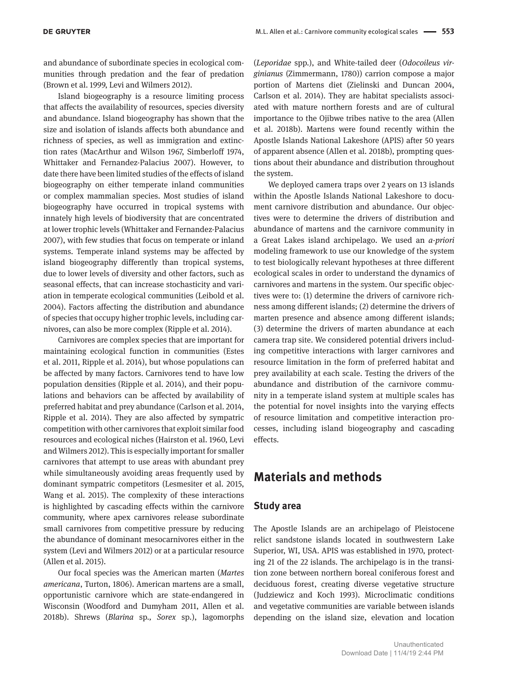and abundance of subordinate species in ecological communities through predation and the fear of predation (Brown et al. 1999, Levi and Wilmers 2012).

Island biogeography is a resource limiting process that affects the availability of resources, species diversity and abundance. Island biogeography has shown that the size and isolation of islands affects both abundance and richness of species, as well as immigration and extinction rates (MacArthur and Wilson 1967, Simberloff 1974, Whittaker and Fernandez-Palacius 2007). However, to date there have been limited studies of the effects of island biogeography on either temperate inland communities or complex mammalian species. Most studies of island biogeography have occurred in tropical systems with innately high levels of biodiversity that are concentrated at lower trophic levels (Whittaker and Fernandez-Palacius 2007), with few studies that focus on temperate or inland systems. Temperate inland systems may be affected by island biogeography differently than tropical systems, due to lower levels of diversity and other factors, such as seasonal effects, that can increase stochasticity and variation in temperate ecological communities (Leibold et al. 2004). Factors affecting the distribution and abundance of species that occupy higher trophic levels, including carnivores, can also be more complex (Ripple et al. 2014).

Carnivores are complex species that are important for maintaining ecological function in communities (Estes et al. 2011, Ripple et al. 2014), but whose populations can be affected by many factors. Carnivores tend to have low population densities (Ripple et al. 2014), and their populations and behaviors can be affected by availability of preferred habitat and prey abundance (Carlson et al. 2014, Ripple et al. 2014). They are also affected by sympatric competition with other carnivores that exploit similar food resources and ecological niches (Hairston et al. 1960, Levi and Wilmers 2012). This is especially important for smaller carnivores that attempt to use areas with abundant prey while simultaneously avoiding areas frequently used by dominant sympatric competitors (Lesmesiter et al. 2015, Wang et al. 2015). The complexity of these interactions is highlighted by cascading effects within the carnivore community, where apex carnivores release subordinate small carnivores from competitive pressure by reducing the abundance of dominant mesocarnivores either in the system (Levi and Wilmers 2012) or at a particular resource (Allen et al. 2015).

Our focal species was the American marten (*Martes americana*, Turton, 1806). American martens are a small, opportunistic carnivore which are state-endangered in Wisconsin (Woodford and Dumyham 2011, Allen et al. 2018b). Shrews (*Blarina* sp*., Sorex* sp.), lagomorphs

(*Leporidae* spp*.*), and White-tailed deer (*Odocoileus virginianus* (Zimmermann, 1780)) carrion compose a major portion of Martens diet (Zielinski and Duncan 2004, Carlson et al. 2014). They are habitat specialists associated with mature northern forests and are of cultural importance to the Ojibwe tribes native to the area (Allen et al. 2018b). Martens were found recently within the Apostle Islands National Lakeshore (APIS) after 50 years of apparent absence (Allen et al. 2018b), prompting questions about their abundance and distribution throughout the system.

We deployed camera traps over 2 years on 13 islands within the Apostle Islands National Lakeshore to document carnivore distribution and abundance. Our objectives were to determine the drivers of distribution and abundance of martens and the carnivore community in a Great Lakes island archipelago. We used an *a-priori* modeling framework to use our knowledge of the system to test biologically relevant hypotheses at three different ecological scales in order to understand the dynamics of carnivores and martens in the system. Our specific objectives were to: (1) determine the drivers of carnivore richness among different islands; (2) determine the drivers of marten presence and absence among different islands; (3) determine the drivers of marten abundance at each camera trap site. We considered potential drivers including competitive interactions with larger carnivores and resource limitation in the form of preferred habitat and prey availability at each scale. Testing the drivers of the abundance and distribution of the carnivore community in a temperate island system at multiple scales has the potential for novel insights into the varying effects of resource limitation and competitive interaction processes, including island biogeography and cascading effects.

## **Materials and methods**

#### **Study area**

The Apostle Islands are an archipelago of Pleistocene relict sandstone islands located in southwestern Lake Superior, WI, USA. APIS was established in 1970, protecting 21 of the 22 islands. The archipelago is in the transition zone between northern boreal coniferous forest and deciduous forest, creating diverse vegetative structure (Judziewicz and Koch 1993). Microclimatic conditions and vegetative communities are variable between islands depending on the island size, elevation and location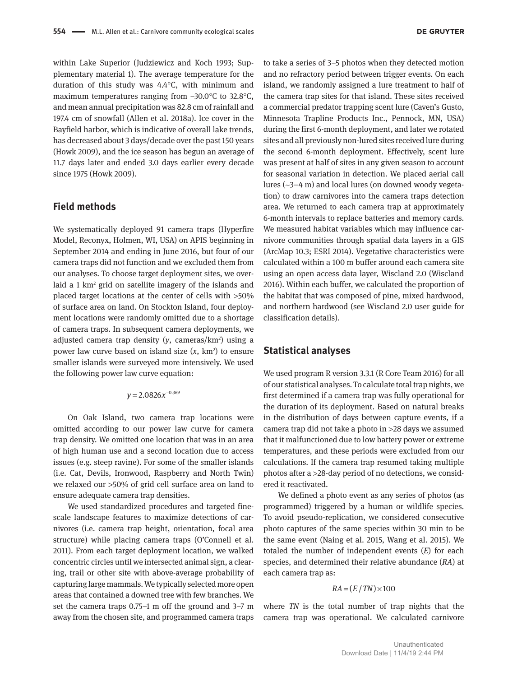within Lake Superior (Judziewicz and Koch 1993; Supplementary material 1). The average temperature for the duration of this study was 4.4°C, with minimum and maximum temperatures ranging from −30.0°C to 32.8°C, and mean annual precipitation was 82.8 cm of rainfall and 197.4 cm of snowfall (Allen et al. 2018a). Ice cover in the Bayfield harbor, which is indicative of overall lake trends, has decreased about 3 days/decade over the past 150 years (Howk 2009), and the ice season has begun an average of 11.7 days later and ended 3.0 days earlier every decade since 1975 (Howk 2009).

### **Field methods**

We systematically deployed 91 camera traps (Hyperfire Model, Reconyx, Holmen, WI, USA) on APIS beginning in September 2014 and ending in June 2016, but four of our camera traps did not function and we excluded them from our analyses. To choose target deployment sites, we overlaid a 1 km2 grid on satellite imagery of the islands and placed target locations at the center of cells with >50% of surface area on land. On Stockton Island, four deployment locations were randomly omitted due to a shortage of camera traps. In subsequent camera deployments, we adjusted camera trap density (*y*, cameras/km2 ) using a power law curve based on island size (*x*, km2 ) to ensure smaller islands were surveyed more intensively. We used the following power law curve equation:

#### $y = 2.0826x^{-0.369}$

On Oak Island, two camera trap locations were omitted according to our power law curve for camera trap density. We omitted one location that was in an area of high human use and a second location due to access issues (e.g. steep ravine). For some of the smaller islands (i.e. Cat, Devils, Ironwood, Raspberry and North Twin) we relaxed our >50% of grid cell surface area on land to ensure adequate camera trap densities.

We used standardized procedures and targeted finescale landscape features to maximize detections of carnivores (i.e. camera trap height, orientation, focal area structure) while placing camera traps (O'Connell et al. 2011). From each target deployment location, we walked concentric circles until we intersected animal sign, a clearing, trail or other site with above-average probability of capturing large mammals. We typically selected more open areas that contained a downed tree with few branches. We set the camera traps 0.75–1 m off the ground and 3–7 m away from the chosen site, and programmed camera traps

to take a series of 3–5 photos when they detected motion and no refractory period between trigger events. On each island, we randomly assigned a lure treatment to half of the camera trap sites for that island. These sites received a commercial predator trapping scent lure (Caven's Gusto, Minnesota Trapline Products Inc., Pennock, MN, USA) during the first 6-month deployment, and later we rotated sites and all previously non-lured sites received lure during the second 6-month deployment. Effectively, scent lure was present at half of sites in any given season to account for seasonal variation in detection. We placed aerial call lures (~3–4 m) and local lures (on downed woody vegetation) to draw carnivores into the camera traps detection area. We returned to each camera trap at approximately 6-month intervals to replace batteries and memory cards. We measured habitat variables which may influence carnivore communities through spatial data layers in a GIS (ArcMap 10.3; ESRI 2014). Vegetative characteristics were calculated within a 100 m buffer around each camera site using an open access data layer, Wiscland 2.0 (Wiscland 2016). Within each buffer, we calculated the proportion of the habitat that was composed of pine, mixed hardwood, and northern hardwood (see Wiscland 2.0 user guide for classification details).

#### **Statistical analyses**

We used program R version 3.3.1 (R Core Team 2016) for all of our statistical analyses. To calculate total trap nights, we first determined if a camera trap was fully operational for the duration of its deployment. Based on natural breaks in the distribution of days between capture events, if a camera trap did not take a photo in >28 days we assumed that it malfunctioned due to low battery power or extreme temperatures, and these periods were excluded from our calculations. If the camera trap resumed taking multiple photos after a >28-day period of no detections, we considered it reactivated.

We defined a photo event as any series of photos (as programmed) triggered by a human or wildlife species. To avoid pseudo-replication, we considered consecutive photo captures of the same species within 30 min to be the same event (Naing et al. 2015, Wang et al. 2015). We totaled the number of independent events (*E*) for each species, and determined their relative abundance (*RA*) at each camera trap as:

#### $RA = (E / TN) \times 100$

where *TN* is the total number of trap nights that the camera trap was operational. We calculated carnivore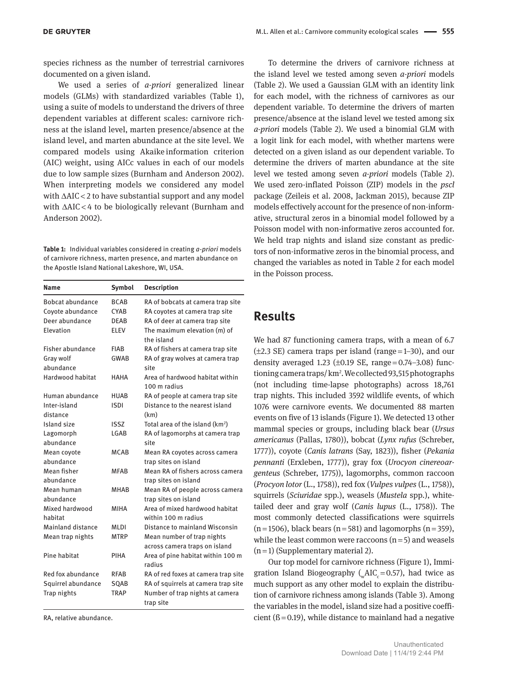species richness as the number of terrestrial carnivores documented on a given island.

We used a series of *a-priori* generalized linear models (GLMs) with standardized variables (Table 1), using a suite of models to understand the drivers of three dependent variables at different scales: carnivore richness at the island level, marten presence/absence at the island level, and marten abundance at the site level. We compared models using Akaike information criterion (AIC) weight, using AICc values in each of our models due to low sample sizes (Burnham and Anderson 2002). When interpreting models we considered any model with ΔAIC < 2 to have substantial support and any model with ΔAIC < 4 to be biologically relevant (Burnham and Anderson 2002).

**Table 1:** Individual variables considered in creating *a-priori* models of carnivore richness, marten presence, and marten abundance on the Apostle Island National Lakeshore, WI, USA.

| Name               | Symbol      | <b>Description</b>                              |  |
|--------------------|-------------|-------------------------------------------------|--|
| Bobcat abundance   | <b>BCAB</b> | RA of bobcats at camera trap site               |  |
| Coyote abundance   | <b>CYAR</b> | RA coyotes at camera trap site                  |  |
| Deer abundance     | <b>DFAB</b> | RA of deer at camera trap site                  |  |
| Elevation          | <b>ELEV</b> | The maximum elevation (m) of<br>the island      |  |
| Fisher abundance   | <b>FIAB</b> | RA of fishers at camera trap site               |  |
| Gray wolf          | <b>GWAB</b> | RA of gray wolves at camera trap                |  |
| abundance          |             | site                                            |  |
| Hardwood habitat   | HAHA        | Area of hardwood habitat within<br>100 m radius |  |
| Human abundance    | <b>HUAB</b> | RA of people at camera trap site                |  |
| Inter-island       | ISDI        | Distance to the nearest island                  |  |
| distance           |             | (km)                                            |  |
| Island size        | ISS7        | Total area of the island (km <sup>2</sup> )     |  |
| Lagomorph          | LGAB        | RA of lagomorphs at camera trap                 |  |
| abundance          |             | site                                            |  |
| Mean coyote        | MCAB        | Mean RA coyotes across camera                   |  |
| abundance          |             | trap sites on island                            |  |
| Mean fisher        | <b>MFAR</b> | Mean RA of fishers across camera                |  |
| abundance          |             | trap sites on island                            |  |
| Mean human         | <b>MHAB</b> | Mean RA of people across camera                 |  |
| abundance          |             | trap sites on island                            |  |
| Mixed hardwood     | MIHA        | Area of mixed hardwood habitat                  |  |
| habitat            |             | within 100 m radius                             |  |
| Mainland distance  | MLDI        | Distance to mainland Wisconsin                  |  |
| Mean trap nights   | MTRP        | Mean number of trap nights                      |  |
|                    |             | across camera traps on island                   |  |
| Pine habitat       | PIHA        | Area of pine habitat within 100 m<br>radius     |  |
| Red fox abundance  | RFAB        | RA of red foxes at camera trap site             |  |
| Squirrel abundance | SQAB        | RA of squirrels at camera trap site             |  |
| Trap nights        | <b>TRAP</b> | Number of trap nights at camera<br>trap site    |  |

RA, relative abundance.

To determine the drivers of carnivore richness at the island level we tested among seven *a-priori* models (Table 2). We used a Gaussian GLM with an identity link for each model, with the richness of carnivores as our dependent variable. To determine the drivers of marten presence/absence at the island level we tested among six *a-priori* models (Table 2). We used a binomial GLM with a logit link for each model, with whether martens were detected on a given island as our dependent variable. To determine the drivers of marten abundance at the site level we tested among seven *a-priori* models (Table 2). We used zero-inflated Poisson (ZIP) models in the *pscl* package (Zeileis et al. 2008, Jackman 2015), because ZIP models effectively account for the presence of non-informative, structural zeros in a binomial model followed by a Poisson model with non-informative zeros accounted for. We held trap nights and island size constant as predictors of non-informative zeros in the binomial process, and changed the variables as noted in Table 2 for each model in the Poisson process.

## **Results**

We had 87 functioning camera traps, with a mean of 6.7  $(\pm 2.3 \text{ SE})$  camera traps per island (range $=1$ –30), and our density averaged 1.23 ( $\pm 0.19$  SE, range $= 0.74 - 3.08$ ) functioning camera traps/ km2 . We collected 93,515 photographs (not including time-lapse photographs) across 18,761 trap nights. This included 3592 wildlife events, of which 1076 were carnivore events. We documented 88 marten events on five of 13 islands (Figure 1). We detected 13 other mammal species or groups, including black bear (*Ursus americanus* (Pallas, 1780)), bobcat (*Lynx rufus* (Schreber, 1777)), coyote (*Canis latrans* (Say, 1823)), fisher (*Pekania pennanti* (Erxleben, 1777)), gray fox (*Urocyon cinereoargenteus* (Schreber, 1775)), lagomorphs, common raccoon (*Procyon lotor* (L., 1758)), red fox (*Vulpes vulpes* (L., 1758)), squirrels (*Sciuridae* spp.), weasels (*Mustela* spp.), whitetailed deer and gray wolf (*Canis lupus* (L., 1758)). The most commonly detected classifications were squirrels  $(n=1506)$ , black bears  $(n=581)$  and lagomorphs  $(n=359)$ , while the least common were raccoons  $(n=5)$  and weasels  $(n=1)$  (Supplementary material 2).

Our top model for carnivore richness (Figure 1), Immigration Island Biogeography ( $\mu$ AIC<sub>c</sub> = 0.57), had twice as much support as any other model to explain the distribution of carnivore richness among islands (Table 3). Among the variables in the model, island size had a positive coefficient  $(6=0.19)$ , while distance to mainland had a negative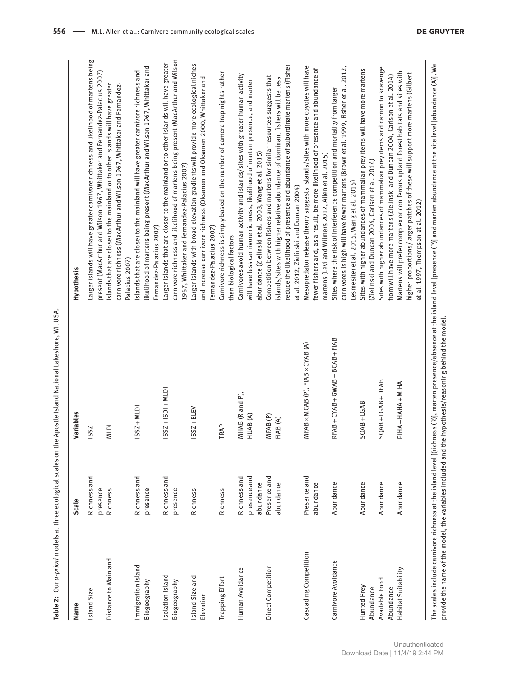| VALL IIC                           |
|------------------------------------|
|                                    |
|                                    |
|                                    |
|                                    |
|                                    |
|                                    |
| $\vdots$                           |
|                                    |
| $\vdots$                           |
|                                    |
|                                    |
|                                    |
|                                    |
| $\cdots$ and $\cdots$ and $\cdots$ |
|                                    |
|                                    |
|                                    |
|                                    |
|                                    |
|                                    |
|                                    |
|                                    |
|                                    |
|                                    |
| ここ こうこう                            |
|                                    |
|                                    |
|                                    |
|                                    |
|                                    |
| )<br>5<br>5                        |
|                                    |
| J                                  |
|                                    |
|                                    |
|                                    |
| ים פנטן טפוניםן כי                 |
|                                    |
|                                    |
|                                    |
|                                    |
| בוא מני נוווי כב בכטוט             |
|                                    |
|                                    |
|                                    |
|                                    |
|                                    |
|                                    |
|                                    |
|                                    |
|                                    |
| r n n n n n n n n r                |
|                                    |
| b Inc<br>Ó                         |
| $le 2$ :                           |
|                                    |
|                                    |
|                                    |

| Name                  | <b>Scale</b> | Variables                                      | Hypothesis                                                                                                                                               |
|-----------------------|--------------|------------------------------------------------|----------------------------------------------------------------------------------------------------------------------------------------------------------|
| Island Size           | Richness and | IS <sub>SZ</sub>                               | Larger islands will have greater carnivore richness and likelihood of martens being                                                                      |
|                       | presence     |                                                | present (MacArthur and Wilson 1967, Whittaker and Fernandez-Palacius 2007)                                                                               |
| Distance to Mainland  | Richness     | <b>MLDI</b>                                    | Islands that are closer to the mainland or to other islands will have greater<br>carnivore richness (MacArthur and Wilson 1967, Whittaker and Fernandez- |
|                       |              |                                                | Palacius 2007)                                                                                                                                           |
| Immigration Island    | Richness and | $ISSZ + MLD$                                   | Islands that are closer to the mainland will have greater carnivore richness and                                                                         |
| Biogeography          | presence     |                                                | likelihood of martens being present (MacArthur and Wilson 1967, Whittaker and<br>Fernandez-Palacius 2007)                                                |
| Isolation Island      | Richness and | $ SSZ + ISDI + MLD$                            | Larger islands that are closer to the mainland or to other islands will have greater                                                                     |
| Biogeography          | presence     |                                                | carnivore richness and likelihood of martens being present (MacArthur and Wilson                                                                         |
|                       |              |                                                | 1967, Whittaker and Fernandez-Palacius 2007)                                                                                                             |
| Island Size and       | Richness     | $ISSZ + ELEV$                                  | Larger islands with broad elevation gradients will provide more ecological niches                                                                        |
| Elevation             |              |                                                | and increase carnivore richness (Oksanen and Oksanen 2000, Whittaker and                                                                                 |
|                       |              |                                                | Fernandez-Palacius 2007)                                                                                                                                 |
| Trapping Effort       | Richness     | TRAP                                           | Carnivore richness is simply based on the number of camera trap nights rather                                                                            |
|                       |              |                                                | than biological factors                                                                                                                                  |
| Human Avoidance       | Richness and | MHAB (R and P),                                | Carnivores avoid human activity and islands/sites with greater human activity                                                                            |
|                       | presence and | HUAB(A)                                        | will have less carnivore richness, likelihood of marten presence, and marten                                                                             |
|                       | abundance    |                                                | abundance (Zielinski et al. 2008, Wang et al. 2015)                                                                                                      |
| Direct Competition    | Presence and | MFAB(P)                                        | Competition between fishers and martens for similar resources suggests that                                                                              |
|                       | abundance    | FIAB (A)                                       | islands/sites with higher relative abundance of dominant fishers will be less                                                                            |
|                       |              |                                                | reduce the likelihood of presence and abundance of subordinate martens (Fisher                                                                           |
|                       |              |                                                | et al. 2012, Zielinski and Duncan 2004)                                                                                                                  |
| Cascading Competition | Presence and | $MFAB \times MCAB$ (P), $FIAB \times CYAB$ (A) | Mesopredator release theory suggests islands/sites with more coyotes will have                                                                           |
|                       | abundance    |                                                | fewer fishers and, as a result, be more likelihood of presence and abundance of                                                                          |
|                       |              |                                                | martens (Levi and Wilmers 2012, Allen et al. 2015)                                                                                                       |
| Carnivore Avoidance   | Abundance    | $RFAB + CYAB + GWAB + BCAB + FIAB$             | Sites where the risk of interference competition and mortality from larger                                                                               |
|                       |              |                                                | carnivores is high will have fewer martens (Brown et al. 1999, Fisher et al. 2012,                                                                       |
|                       |              |                                                | Lesmesiter et al. 2015, Wang et al. 2015)                                                                                                                |
| Hunted Prey           | Abundance    | $SQAB + LGAB$                                  | Sites with higher abundances of mammalian prey items will have more martens                                                                              |
| Abundance             |              |                                                | (Zielinski and Duncan 2004, Carlson et al. 2014)                                                                                                         |
| Available Food        | Abundance    | $SQAB + LGAB + DEAB$                           | Sites with higher abundances of mammalian prey items and carrion to scavenge                                                                             |
| Abundance             |              |                                                | from will have more martens (Zielinski and Duncan 2004, Carlson et al. 2014)                                                                             |
| Habitat Suitability   | Abundance    | PIHA + HAHA + MIHA                             | Martens will prefer complex or coniferous upland forest habitats and sites with                                                                          |
|                       |              |                                                | higher proportions/larger patches of these will support more martens (Gilbert                                                                            |
|                       |              |                                                | et al. 1997, Thompson et al. 2012)                                                                                                                       |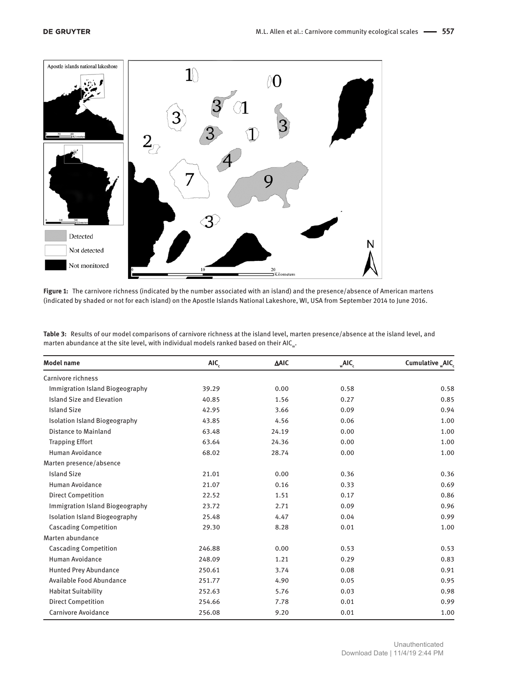

**Figure 1:** The carnivore richness (indicated by the number associated with an island) and the presence/absence of American martens (indicated by shaded or not for each island) on the Apostle Islands National Lakeshore, WI, USA from September 2014 to June 2016.

| Table 3: Results of our model comparisons of carnivore richness at the island level, marten presence/absence at the island level, and |
|---------------------------------------------------------------------------------------------------------------------------------------|
| marten abundance at the site level, with individual models ranked based on their AIC <sub></sub> .                                    |

| <b>Model name</b>                    | AIC,   | <b>AAIC</b> | $\mathsf{AIC}_{c}$ | Cumulative "AIC, |
|--------------------------------------|--------|-------------|--------------------|------------------|
| Carnivore richness                   |        |             |                    |                  |
| Immigration Island Biogeography      | 39.29  | 0.00        | 0.58               | 0.58             |
| <b>Island Size and Elevation</b>     | 40.85  | 1.56        | 0.27               | 0.85             |
| <b>Island Size</b>                   | 42.95  | 3.66        | 0.09               | 0.94             |
| <b>Isolation Island Biogeography</b> | 43.85  | 4.56        | 0.06               | 1.00             |
| <b>Distance to Mainland</b>          | 63.48  | 24.19       | 0.00               | 1.00             |
| <b>Trapping Effort</b>               | 63.64  | 24.36       | 0.00               | 1.00             |
| Human Avoidance                      | 68.02  | 28.74       | 0.00               | 1.00             |
| Marten presence/absence              |        |             |                    |                  |
| <b>Island Size</b>                   | 21.01  | 0.00        | 0.36               | 0.36             |
| Human Avoidance                      | 21.07  | 0.16        | 0.33               | 0.69             |
| <b>Direct Competition</b>            | 22.52  | 1.51        | 0.17               | 0.86             |
| Immigration Island Biogeography      | 23.72  | 2.71        | 0.09               | 0.96             |
| <b>Isolation Island Biogeography</b> | 25.48  | 4.47        | 0.04               | 0.99             |
| <b>Cascading Competition</b>         | 29.30  | 8.28        | 0.01               | 1.00             |
| Marten abundance                     |        |             |                    |                  |
| <b>Cascading Competition</b>         | 246.88 | 0.00        | 0.53               | 0.53             |
| Human Avoidance                      | 248.09 | 1.21        | 0.29               | 0.83             |
| <b>Hunted Prey Abundance</b>         | 250.61 | 3.74        | 0.08               | 0.91             |
| Available Food Abundance             | 251.77 | 4.90        | 0.05               | 0.95             |
| <b>Habitat Suitability</b>           | 252.63 | 5.76        | 0.03               | 0.98             |
| <b>Direct Competition</b>            | 254.66 | 7.78        | 0.01               | 0.99             |
| Carnivore Avoidance                  | 256.08 | 9.20        | 0.01               | 1.00             |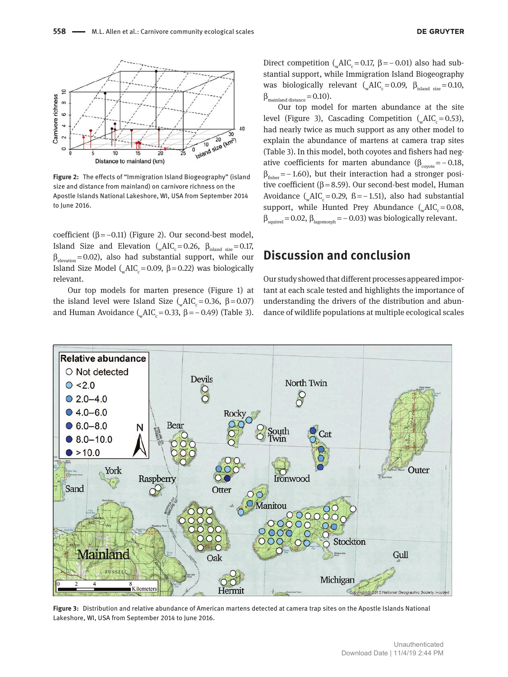

**Figure 2:** The effects of "Immigration Island Biogeography" (island size and distance from mainland) on carnivore richness on the Apostle Islands National Lakeshore, WI, USA from September 2014 to June 2016.

coefficient (β = -0.11) (Figure 2). Our second-best model, Island Size and Elevation ( $\mu$ AIC<sub>c</sub> = 0.26,  $\beta_{\text{island size}} = 0.17$ ,  $\beta_{\text{elevation}}$ =0.02), also had substantial support, while our Island Size Model ( $\Delta$ IC<sub>c</sub> = 0.09, β = 0.22) was biologically relevant.

Our top models for marten presence (Figure 1) at the island level were Island Size ( $\mu$ AIC<sub>c</sub> = 0.36, β = 0.07) and Human Avoidance ( $\mu$ AIC = 0.33,  $\beta$  = − 0.49) (Table 3).

Direct competition ( $\Delta IC = 0.17$ ,  $\beta = -0.01$ ) also had substantial support, while Immigration Island Biogeography was biologically relevant ( $_{w}$ AIC<sub>c</sub> = 0.09,  $\beta_{\text{island size}}$  = 0.10,  $\beta_{\text{maintland distance}} = 0.10$ ).

Our top model for marten abundance at the site level (Figure 3), Cascading Competition ( $\mu$ AIC = 0.53), had nearly twice as much support as any other model to explain the abundance of martens at camera trap sites (Table 3). In this model, both coyotes and fishers had negative coefficients for marten abundance ( $\beta_{\text{control}} = -0.18$ ,  $\beta_{\text{fisher}} = -1.60$ , but their interaction had a stronger positive coefficient ( $β = 8.59$ ). Our second-best model, Human Avoidance ( $\Delta IC = 0.29$ , ß = −1.51), also had substantial support, while Hunted Prey Abundance  $(MC = 0.08,$  $\beta_{\text{squired}} = 0.02$ ,  $\beta_{\text{lagomorph}} = -0.03$ ) was biologically relevant.

## **Discussion and conclusion**

Our study showed that different processes appeared important at each scale tested and highlights the importance of understanding the drivers of the distribution and abundance of wildlife populations at multiple ecological scales



**Figure 3:** Distribution and relative abundance of American martens detected at camera trap sites on the Apostle Islands National Lakeshore, WI, USA from September 2014 to June 2016.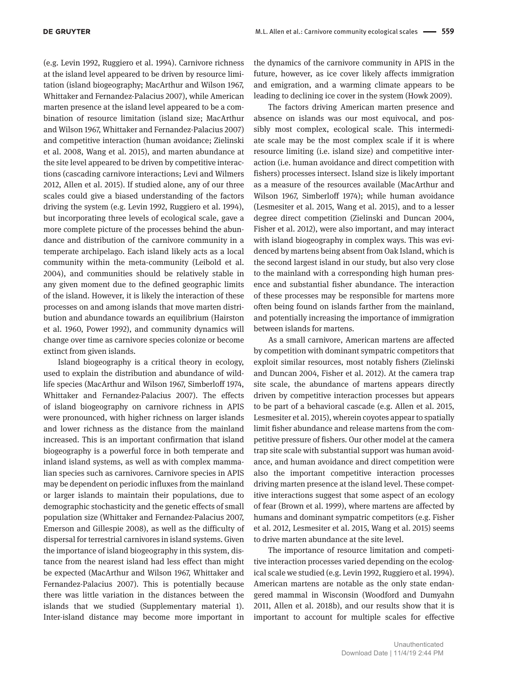(e.g. Levin 1992, Ruggiero et al. 1994). Carnivore richness at the island level appeared to be driven by resource limitation (island biogeography; MacArthur and Wilson 1967, Whittaker and Fernandez-Palacius 2007), while American marten presence at the island level appeared to be a combination of resource limitation (island size; MacArthur and Wilson 1967, Whittaker and Fernandez-Palacius 2007) and competitive interaction (human avoidance; Zielinski et al. 2008, Wang et al. 2015), and marten abundance at the site level appeared to be driven by competitive interactions (cascading carnivore interactions; Levi and Wilmers 2012, Allen et al. 2015). If studied alone, any of our three scales could give a biased understanding of the factors driving the system (e.g. Levin 1992, Ruggiero et al. 1994), but incorporating three levels of ecological scale, gave a more complete picture of the processes behind the abundance and distribution of the carnivore community in a temperate archipelago. Each island likely acts as a local community within the meta-community (Leibold et al. 2004), and communities should be relatively stable in any given moment due to the defined geographic limits of the island. However, it is likely the interaction of these processes on and among islands that move marten distribution and abundance towards an equilibrium (Hairston et al. 1960, Power 1992), and community dynamics will change over time as carnivore species colonize or become extinct from given islands.

Island biogeography is a critical theory in ecology, used to explain the distribution and abundance of wildlife species (MacArthur and Wilson 1967, Simberloff 1974, Whittaker and Fernandez-Palacius 2007). The effects of island biogeography on carnivore richness in APIS were pronounced, with higher richness on larger islands and lower richness as the distance from the mainland increased. This is an important confirmation that island biogeography is a powerful force in both temperate and inland island systems, as well as with complex mammalian species such as carnivores. Carnivore species in APIS may be dependent on periodic influxes from the mainland or larger islands to maintain their populations, due to demographic stochasticity and the genetic effects of small population size (Whittaker and Fernandez-Palacius 2007, Emerson and Gillespie 2008), as well as the difficulty of dispersal for terrestrial carnivores in island systems. Given the importance of island biogeography in this system, distance from the nearest island had less effect than might be expected (MacArthur and Wilson 1967, Whittaker and Fernandez-Palacius 2007). This is potentially because there was little variation in the distances between the islands that we studied (Supplementary material 1). Inter-island distance may become more important in

the dynamics of the carnivore community in APIS in the future, however, as ice cover likely affects immigration and emigration, and a warming climate appears to be leading to declining ice cover in the system (Howk 2009).

The factors driving American marten presence and absence on islands was our most equivocal, and possibly most complex, ecological scale. This intermediate scale may be the most complex scale if it is where resource limiting (i.e. island size) and competitive interaction (i.e. human avoidance and direct competition with fishers) processes intersect. Island size is likely important as a measure of the resources available (MacArthur and Wilson 1967, Simberloff 1974); while human avoidance (Lesmesiter et al. 2015, Wang et al. 2015), and to a lesser degree direct competition (Zielinski and Duncan 2004, Fisher et al. 2012), were also important, and may interact with island biogeography in complex ways. This was evidenced by martens being absent from Oak Island, which is the second largest island in our study, but also very close to the mainland with a corresponding high human presence and substantial fisher abundance. The interaction of these processes may be responsible for martens more often being found on islands farther from the mainland, and potentially increasing the importance of immigration between islands for martens.

As a small carnivore, American martens are affected by competition with dominant sympatric competitors that exploit similar resources, most notably fishers (Zielinski and Duncan 2004, Fisher et al. 2012). At the camera trap site scale, the abundance of martens appears directly driven by competitive interaction processes but appears to be part of a behavioral cascade (e.g. Allen et al. 2015, Lesmesiter et al. 2015), wherein coyotes appear to spatially limit fisher abundance and release martens from the competitive pressure of fishers. Our other model at the camera trap site scale with substantial support was human avoidance, and human avoidance and direct competition were also the important competitive interaction processes driving marten presence at the island level. These competitive interactions suggest that some aspect of an ecology of fear (Brown et al. 1999), where martens are affected by humans and dominant sympatric competitors (e.g. Fisher et al. 2012, Lesmesiter et al. 2015, Wang et al. 2015) seems to drive marten abundance at the site level.

The importance of resource limitation and competitive interaction processes varied depending on the ecological scale we studied (e.g. Levin 1992, Ruggiero et al. 1994). American martens are notable as the only state endangered mammal in Wisconsin (Woodford and Dumyahn 2011, Allen et al. 2018b), and our results show that it is important to account for multiple scales for effective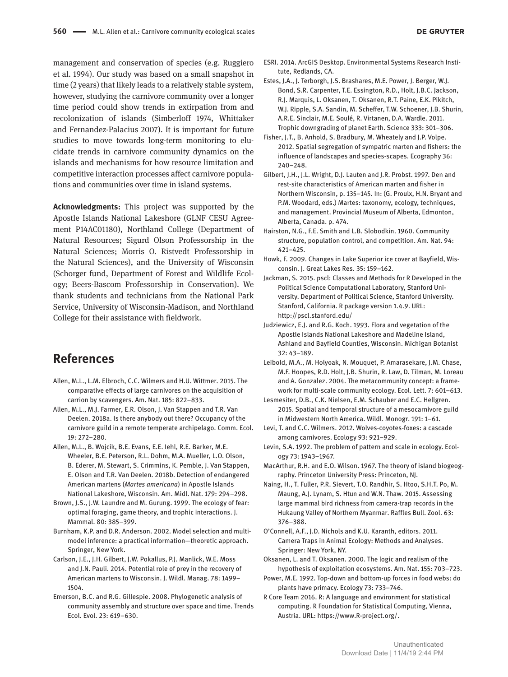**DE GRUYTER** 

management and conservation of species (e.g. Ruggiero et al. 1994). Our study was based on a small snapshot in time (2 years) that likely leads to a relatively stable system, however, studying the carnivore community over a longer time period could show trends in extirpation from and recolonization of islands (Simberloff 1974, Whittaker and Fernandez-Palacius 2007). It is important for future studies to move towards long-term monitoring to elucidate trends in carnivore community dynamics on the islands and mechanisms for how resource limitation and competitive interaction processes affect carnivore populations and communities over time in island systems.

**Acknowledgments:** This project was supported by the Apostle Islands National Lakeshore (GLNF CESU Agreement P14AC01180), Northland College (Department of Natural Resources; Sigurd Olson Professorship in the Natural Sciences; Morris O. Ristvedt Professorship in the Natural Sciences), and the University of Wisconsin (Schorger fund, Department of Forest and Wildlife Ecology; Beers-Bascom Professorship in Conservation). We thank students and technicians from the National Park Service, University of Wisconsin-Madison, and Northland College for their assistance with fieldwork.

## **References**

- Allen, M.L., L.M. Elbroch, C.C. Wilmers and H.U. Wittmer. 2015. The comparative effects of large carnivores on the acquisition of carrion by scavengers. Am. Nat. 185: 822–833.
- Allen, M.L., M.J. Farmer, E.R. Olson, J. Van Stappen and T.R. Van Deelen. 2018a. Is there anybody out there? Occupancy of the carnivore guild in a remote temperate archipelago. Comm. Ecol. 19: 272–280.
- Allen, M.L., B. Wojcik, B.E. Evans, E.E. Iehl, R.E. Barker, M.E. Wheeler, B.E. Peterson, R.L. Dohm, M.A. Mueller, L.O. Olson, B. Ederer, M. Stewart, S. Crimmins, K. Pemble, J. Van Stappen, E. Olson and T.R. Van Deelen. 2018b. Detection of endangered American martens (*Martes americana*) in Apostle Islands National Lakeshore, Wisconsin. Am. Midl. Nat. 179: 294–298.
- Brown, J.S., J.W. Laundre and M. Gurung. 1999. The ecology of fear: optimal foraging, game theory, and trophic interactions. J. Mammal. 80: 385–399.
- Burnham, K.P. and D.R. Anderson. 2002. Model selection and multimodel inference: a practical information—theoretic approach. Springer, New York.
- Carlson, J.E., J.H. Gilbert, J.W. Pokallus, P.J. Manlick, W.E. Moss and J.N. Pauli. 2014. Potential role of prey in the recovery of American martens to Wisconsin. J. Wildl. Manag. 78: 1499– 1504.
- Emerson, B.C. and R.G. Gillespie. 2008. Phylogenetic analysis of community assembly and structure over space and time. Trends Ecol. Evol. 23: 619–630.
- ESRI. 2014. ArcGIS Desktop. Environmental Systems Research Institute, Redlands, CA.
- Estes, J.A., J. Terborgh, J.S. Brashares, M.E. Power, J. Berger, W.J. Bond, S.R. Carpenter, T.E. Essington, R.D., Holt, J.B.C. Jackson, R.J. Marquis, L. Oksanen, T. Oksanen, R.T. Paine, E.K. Pikitch, W.J. Ripple, S.A. Sandin, M. Scheffer, T.W. Schoener, J.B. Shurin, A.R.E. Sinclair, M.E. Soulé, R. Virtanen, D.A. Wardle. 2011. Trophic downgrading of planet Earth. Science 333: 301–306.
- Fisher, J.T., B. Anhold, S. Bradbury, M. Wheately and J.P. Volpe. 2012. Spatial segregation of sympatric marten and fishers: the influence of landscapes and species-scapes. Ecography 36: 240–248.
- Gilbert, J.H., J.L. Wright, D.J. Lauten and J.R. Probst. 1997. Den and rest-site characteristics of American marten and fisher in Northern Wisconsin, p. 135–145. In: (G. Proulx, H.N. Bryant and P.M. Woodard, eds.) Martes: taxonomy, ecology, techniques, and management. Provincial Museum of Alberta, Edmonton, Alberta, Canada. p. 474.
- Hairston, N.G., F.E. Smith and L.B. Slobodkin. 1960. Community structure, population control, and competition. Am. Nat. 94: 421–425.
- Howk, F. 2009. Changes in Lake Superior ice cover at Bayfield, Wisconsin. J. Great Lakes Res. 35: 159–162.
- Jackman, S. 2015. pscl: Classes and Methods for R Developed in the Political Science Computational Laboratory, Stanford University. Department of Political Science, Stanford University. Stanford, California. R package version 1.4.9. URL: <http://pscl.stanford.edu/>
- Judziewicz, E.J. and R.G. Koch. 1993. Flora and vegetation of the Apostle Islands National Lakeshore and Madeline Island, Ashland and Bayfield Counties, Wisconsin. Michigan Botanist 32: 43–189.
- Leibold, M.A., M. Holyoak, N. Mouquet, P. Amarasekare, J.M. Chase, M.F. Hoopes, R.D. Holt, J.B. Shurin, R. Law, D. Tilman, M. Loreau and A. Gonzalez. 2004. The metacommunity concept: a framework for multi-scale community ecology. Ecol. Lett. 7: 601–613.
- Lesmesiter, D.B., C.K. Nielsen, E.M. Schauber and E.C. Hellgren. 2015. Spatial and temporal structure of a mesocarnivore guild in Midwestern North America. Wildl. Monogr. 191: 1–61.
- Levi, T. and C.C. Wilmers. 2012. Wolves-coyotes-foxes: a cascade among carnivores. Ecology 93: 921–929.
- Levin, S.A. 1992. The problem of pattern and scale in ecology. Ecology 73: 1943–1967.
- MacArthur, R.H. and E.O. Wilson. 1967. The theory of island biogeography. Princeton University Press: Princeton, NJ.
- Naing, H., T. Fuller, P.R. Sievert, T.O. Randhir, S. Htoo, S.H.T. Po, M. Maung, A.J. Lynam, S. Htun and W.N. Thaw. 2015. Assessing large mammal bird richness from camera-trap records in the Hukaung Valley of Northern Myanmar. Raffles Bull. Zool. 63: 376–388.
- O'Connell, A.F., J.D. Nichols and K.U. Karanth, editors. 2011. Camera Traps in Animal Ecology: Methods and Analyses. Springer: New York, NY.
- Oksanen, L. and T. Oksanen. 2000. The logic and realism of the hypothesis of exploitation ecosystems. Am. Nat. 155: 703–723.
- Power, M.E. 1992. Top-down and bottom-up forces in food webs: do plants have primacy. Ecology 73: 733–746.
- R Core Team 2016. R: A language and environment for statistical computing. R Foundation for Statistical Computing, Vienna, Austria. URL:<https://www.R-project.org/>.